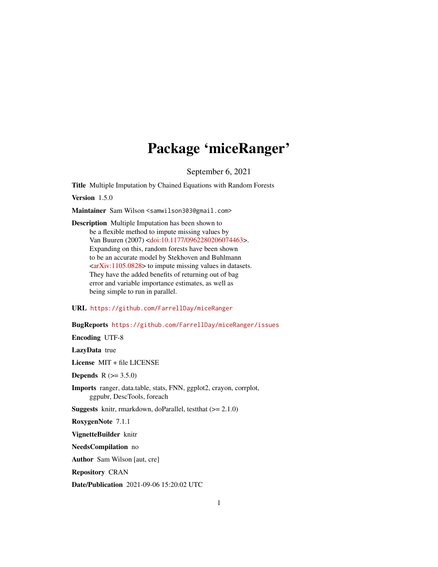# Package 'miceRanger'

September 6, 2021

Title Multiple Imputation by Chained Equations with Random Forests

Version 1.5.0

Maintainer Sam Wilson <samwilson303@gmail.com>

Description Multiple Imputation has been shown to be a flexible method to impute missing values by Van Buuren (2007) [<doi:10.1177/0962280206074463>](https://doi.org/10.1177/0962280206074463). Expanding on this, random forests have been shown to be an accurate model by Stekhoven and Buhlmann  $\langle \text{arXiv:1105.0828}\rangle$  to impute missing values in datasets. They have the added benefits of returning out of bag error and variable importance estimates, as well as being simple to run in parallel.

URL <https://github.com/FarrellDay/miceRanger>

BugReports <https://github.com/FarrellDay/miceRanger/issues>

Encoding UTF-8

LazyData true

License MIT + file LICENSE

**Depends**  $R (= 3.5.0)$ 

Imports ranger, data.table, stats, FNN, ggplot2, crayon, corrplot, ggpubr, DescTools, foreach

**Suggests** knitr, rmarkdown, doParallel, testthat  $(>= 2.1.0)$ 

RoxygenNote 7.1.1

VignetteBuilder knitr

NeedsCompilation no

Author Sam Wilson [aut, cre]

Repository CRAN

Date/Publication 2021-09-06 15:20:02 UTC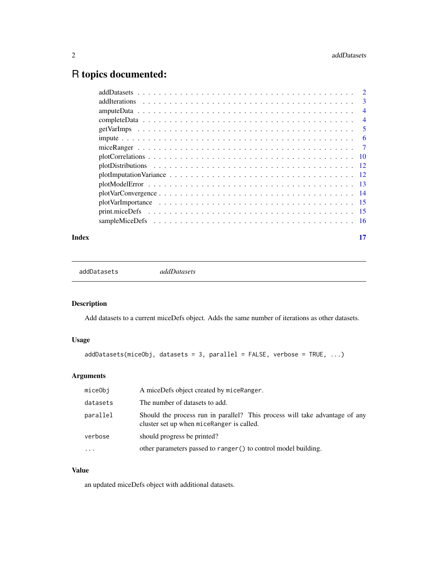# <span id="page-1-0"></span>R topics documented:

|  | $\overline{3}$ |
|--|----------------|
|  | $\overline{4}$ |
|  | $\overline{4}$ |
|  | $\overline{5}$ |
|  |                |
|  |                |
|  |                |
|  |                |
|  |                |
|  |                |
|  |                |
|  |                |
|  |                |
|  |                |
|  |                |

## **Index** [17](#page-16-0)

addDatasets *addDatasets*

# Description

Add datasets to a current miceDefs object. Adds the same number of iterations as other datasets.

# Usage

 $addDatasets(miceObj, datasets = 3, parallel = FALSE, verbose = TRUE, ...)$ 

# Arguments

| miceObj  | A miceDefs object created by miceRanger.                                                                                 |
|----------|--------------------------------------------------------------------------------------------------------------------------|
| datasets | The number of datasets to add.                                                                                           |
| parallel | Should the process run in parallel? This process will take advantage of any<br>cluster set up when miceRanger is called. |
| verbose  | should progress be printed?                                                                                              |
| $\cdots$ | other parameters passed to ranger () to control model building.                                                          |

## Value

an updated miceDefs object with additional datasets.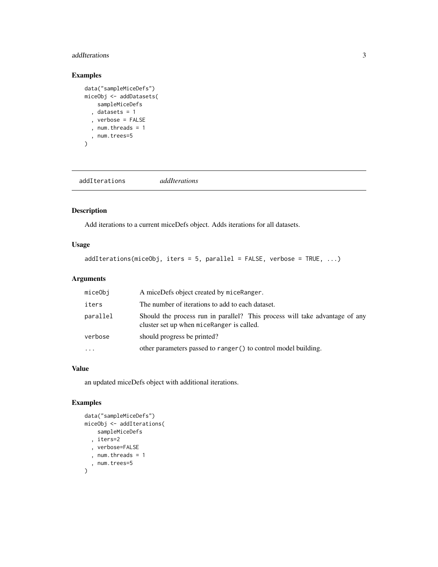## <span id="page-2-0"></span>addIterations 3

# Examples

```
data("sampleMiceDefs")
miceObj <- addDatasets(
    sampleMiceDefs
  , datasets = 1
  , verbose = FALSE
  , num.threads = 1
  , num.trees=5
\mathcal{L}
```
addIterations *addIterations*

## Description

Add iterations to a current miceDefs object. Adds iterations for all datasets.

# Usage

```
addIterations(miceObj, items = 5, parallel = FALSE, verbose = TRUE, ...)
```
# Arguments

| miceObi   | A miceDefs object created by miceRanger.                                                                                 |
|-----------|--------------------------------------------------------------------------------------------------------------------------|
| iters     | The number of iterations to add to each dataset.                                                                         |
| parallel  | Should the process run in parallel? This process will take advantage of any<br>cluster set up when miceRanger is called. |
| verbose   | should progress be printed?                                                                                              |
| $\ddotsc$ | other parameters passed to ranger () to control model building.                                                          |

# Value

an updated miceDefs object with additional iterations.

```
data("sampleMiceDefs")
miceObj <- addIterations(
    sampleMiceDefs
  , iters=2
  , verbose=FALSE
  , num.threads = 1
  , num.trees=5
\mathcal{L}
```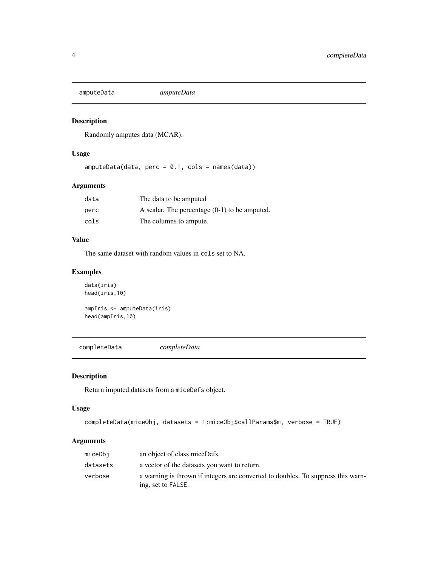<span id="page-3-0"></span>amputeData *amputeData*

# Description

Randomly amputes data (MCAR).

# Usage

amputeData(data, perc = 0.1, cols = names(data))

# Arguments

| data | The data to be amputed                          |
|------|-------------------------------------------------|
| perc | A scalar. The percentage $(0-1)$ to be amputed. |
| cols | The columns to ampute.                          |

## Value

The same dataset with random values in cols set to NA.

# Examples

```
data(iris)
head(iris,10)
ampIris <- amputeData(iris)
head(ampIris,10)
```
completeData *completeData*

# Description

Return imputed datasets from a miceDefs object.

### Usage

```
completeData(miceObj, datasets = 1:miceObj$callParams$m, verbose = TRUE)
```
# Arguments

| miceObi  | an object of class miceDefs.                                                                           |
|----------|--------------------------------------------------------------------------------------------------------|
| datasets | a vector of the datasets you want to return.                                                           |
| verbose  | a warning is thrown if integers are converted to doubles. To suppress this warn-<br>ing, set to FALSE. |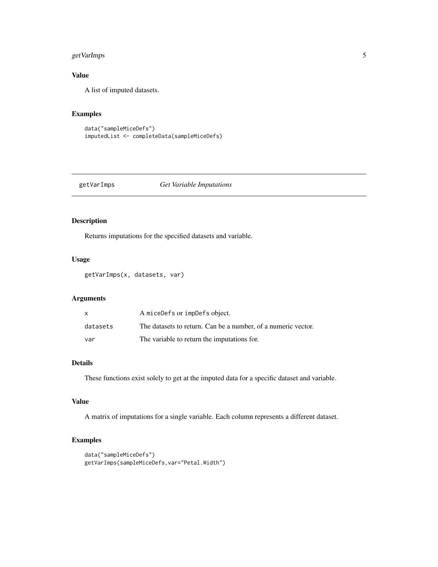# <span id="page-4-0"></span>getVarImps 5

# Value

A list of imputed datasets.

# Examples

```
data("sampleMiceDefs")
imputedList <- completeData(sampleMiceDefs)
```
# getVarImps *Get Variable Imputations*

# Description

Returns imputations for the specified datasets and variable.

# Usage

getVarImps(x, datasets, var)

### Arguments

| x        | A miceDefs or impDefs object.                                 |
|----------|---------------------------------------------------------------|
| datasets | The datasets to return. Can be a number, of a numeric vector. |
| var      | The variable to return the imputations for.                   |

## Details

These functions exist solely to get at the imputed data for a specific dataset and variable.

# Value

A matrix of imputations for a single variable. Each column represents a different dataset.

```
data("sampleMiceDefs")
getVarImps(sampleMiceDefs,var="Petal.Width")
```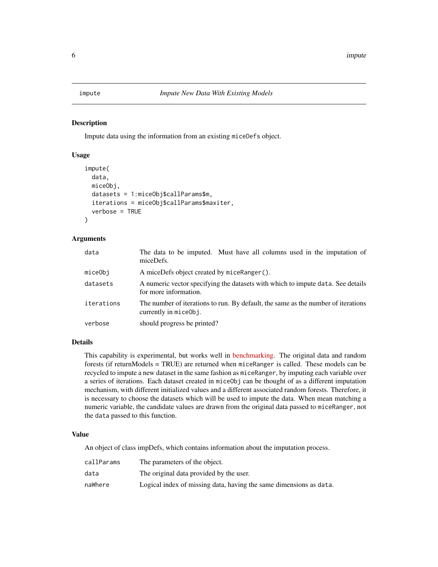<span id="page-5-0"></span>

#### Description

Impute data using the information from an existing miceDefs object.

#### Usage

```
impute(
  data,
 miceObj,
  datasets = 1:miceObj$callParams$m,
  iterations = miceObj$callParams$maxiter,
  verbose = TRUE
)
```
## Arguments

| data       | The data to be imputed. Must have all columns used in the imputation of<br>miceDefs.                       |
|------------|------------------------------------------------------------------------------------------------------------|
| miceObj    | A miceDefs object created by miceRanger().                                                                 |
| datasets   | A numeric vector specifying the datasets with which to impute data. See details<br>for more information.   |
| iterations | The number of iterations to run. By default, the same as the number of iterations<br>currently in miceObj. |
| verbose    | should progress be printed?                                                                                |

# Details

This capability is experimental, but works well in [benchmarking.](https://github.com/FarrellDay/miceRanger/tree/master/benchmarks) The original data and random forests (if returnModels = TRUE) are returned when miceRanger is called. These models can be recycled to impute a new dataset in the same fashion as miceRanger, by imputing each variable over a series of iterations. Each dataset created in miceObj can be thought of as a different imputation mechanism, with different initialized values and a different associated random forests. Therefore, it is necessary to choose the datasets which will be used to impute the data. When mean matching a numeric variable, the candidate values are drawn from the original data passed to miceRanger, not the data passed to this function.

#### Value

An object of class impDefs, which contains information about the imputation process.

| callParams | The parameters of the object.                                      |
|------------|--------------------------------------------------------------------|
| data       | The original data provided by the user.                            |
| naWhere    | Logical index of missing data, having the same dimensions as data. |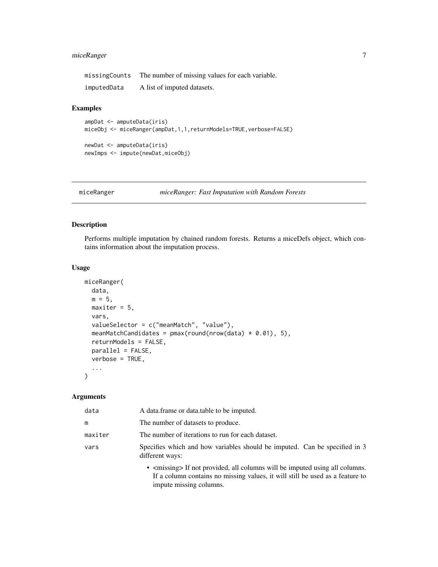# <span id="page-6-0"></span>miceRanger 7

| missingCounts | The number of missing values for each variable. |
|---------------|-------------------------------------------------|
| imputedData   | A list of imputed datasets.                     |

# Examples

```
ampDat <- amputeData(iris)
miceObj <- miceRanger(ampDat,1,1,returnModels=TRUE,verbose=FALSE)
newDat <- amputeData(iris)
newImps <- impute(newDat,miceObj)
```

```
miceRanger miceRanger: Fast Imputation with Random Forests
```
## Description

Performs multiple imputation by chained random forests. Returns a miceDefs object, which contains information about the imputation process.

## Usage

```
miceRanger(
  data,
 m = 5,
 maxiter = 5,
 vars,
  valueSelector = c("meanMatch", "value"),
 meanMatchCandidates = pmax(round(nrow(data) * 0.01), 5),
  returnModels = FALSE,
 parallel = FALSE,
  verbose = TRUE,
  ...
\mathcal{L}
```
### Arguments

| data    | A data frame or data table to be imputed.                                                                                                                                                           |
|---------|-----------------------------------------------------------------------------------------------------------------------------------------------------------------------------------------------------|
| m       | The number of datasets to produce.                                                                                                                                                                  |
| maxiter | The number of iterations to run for each dataset.                                                                                                                                                   |
| vars    | Specifies which and how variables should be imputed. Can be specified in 3<br>different ways:                                                                                                       |
|         | • <missing> If not provided, all columns will be imputed using all columns.<br/>If a column contains no missing values, it will still be used as a feature to<br/>impute missing columns.</missing> |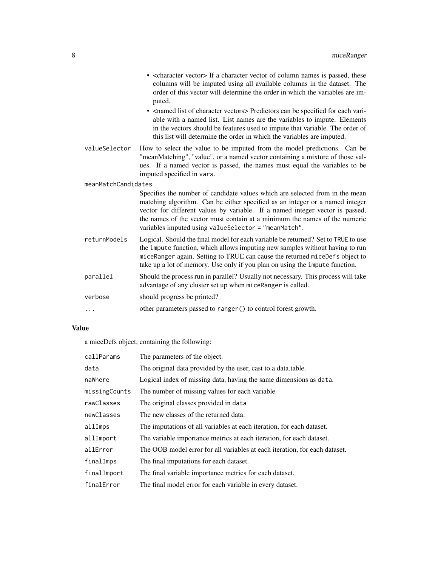|                     | • <character vector=""> If a character vector of column names is passed, these<br/>columns will be imputed using all available columns in the dataset. The<br/>order of this vector will determine the order in which the variables are im-<br/>puted.<br/>• <named character="" list="" of="" vectors=""> Predictors can be specified for each vari-<br/>able with a named list. List names are the variables to impute. Elements<br/>in the vectors should be features used to impute that variable. The order of<br/>this list will determine the order in which the variables are imputed.</named></character> |
|---------------------|--------------------------------------------------------------------------------------------------------------------------------------------------------------------------------------------------------------------------------------------------------------------------------------------------------------------------------------------------------------------------------------------------------------------------------------------------------------------------------------------------------------------------------------------------------------------------------------------------------------------|
| valueSelector       | How to select the value to be imputed from the model predictions. Can be<br>"meanMatching", "value", or a named vector containing a mixture of those val-<br>ues. If a named vector is passed, the names must equal the variables to be<br>imputed specified in vars.                                                                                                                                                                                                                                                                                                                                              |
| meanMatchCandidates |                                                                                                                                                                                                                                                                                                                                                                                                                                                                                                                                                                                                                    |
|                     | Specifies the number of candidate values which are selected from in the mean<br>matching algorithm. Can be either specified as an integer or a named integer<br>vector for different values by variable. If a named integer vector is passed,<br>the names of the vector must contain at a minimum the names of the numeric<br>variables imputed using valueSelector = "meanMatch".                                                                                                                                                                                                                                |
| returnModels        | Logical. Should the final model for each variable be returned? Set to TRUE to use<br>the impute function, which allows imputing new samples without having to run<br>miceRanger again. Setting to TRUE can cause the returned miceDefs object to<br>take up a lot of memory. Use only if you plan on using the impute function.                                                                                                                                                                                                                                                                                    |
| parallel            | Should the process run in parallel? Usually not necessary. This process will take<br>advantage of any cluster set up when miceRanger is called.                                                                                                                                                                                                                                                                                                                                                                                                                                                                    |
| verbose             | should progress be printed?                                                                                                                                                                                                                                                                                                                                                                                                                                                                                                                                                                                        |
|                     | other parameters passed to ranger () to control forest growth.                                                                                                                                                                                                                                                                                                                                                                                                                                                                                                                                                     |

# Value

a miceDefs object, containing the following:

| callParams    | The parameters of the object.                                              |
|---------------|----------------------------------------------------------------------------|
| data          | The original data provided by the user, cast to a data table.              |
| naWhere       | Logical index of missing data, having the same dimensions as data.         |
| missingCounts | The number of missing values for each variable.                            |
| rawClasses    | The original classes provided in data                                      |
| newClasses    | The new classes of the returned data.                                      |
| allImps       | The imputations of all variables at each iteration, for each dataset.      |
| allImport     | The variable importance metrics at each iteration, for each dataset.       |
| allError      | The OOB model error for all variables at each iteration, for each dataset. |
| finalImps     | The final imputations for each dataset.                                    |
| finalImport   | The final variable importance metrics for each dataset.                    |
| finalError    | The final model error for each variable in every dataset.                  |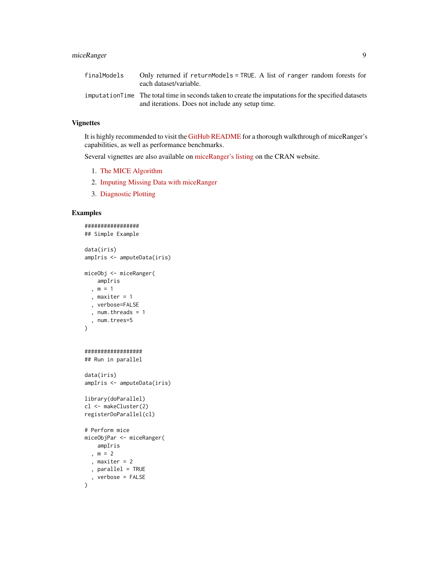# miceRanger 9

| finalModels | Only returned if returnModels = TRUE. A list of ranger random forests for<br>each dataset/variable.                                                      |  |
|-------------|----------------------------------------------------------------------------------------------------------------------------------------------------------|--|
|             | imputation Time The total time in seconds taken to create the imputations for the specified datasets<br>and iterations. Does not include any setup time. |  |

## Vignettes

It is highly recommended to visit the [GitHub README](https://github.com/farrellday/miceRanger) for a thorough walkthrough of miceRanger's capabilities, as well as performance benchmarks.

Several vignettes are also available on [miceRanger's listing](https://cran.r-project.org/package=miceRanger) on the CRAN website.

- 1. [The MICE Algorithm](https://cran.r-project.org/package=miceRanger/vignettes/miceAlgorithm.html)
- 2. [Imputing Missing Data with miceRanger](https://cran.r-project.org/package=miceRanger/vignettes/usingMiceRanger.html)
- 3. [Diagnostic Plotting](https://cran.r-project.org/package=miceRanger/vignettes/diagnosticPlotting.html)

```
#################
## Simple Example
data(iris)
ampIris <- amputeData(iris)
miceObj <- miceRanger(
    ampIris
  , m = 1, maxiter = 1, verbose=FALSE
  , num.threads = 1
  , num.trees=5
\mathcal{L}##################
## Run in parallel
data(iris)
ampIris <- amputeData(iris)
library(doParallel)
cl <- makeCluster(2)
registerDoParallel(cl)
# Perform mice
miceObjPar <- miceRanger(
   ampIris
 , m = 2, maxiter = 2
  , parallel = TRUE
  , verbose = FALSE
)
```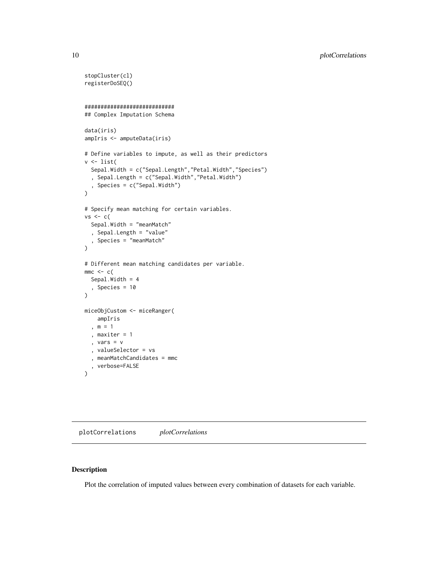```
stopCluster(cl)
registerDoSEQ()
############################
## Complex Imputation Schema
data(iris)
ampIris <- amputeData(iris)
# Define variables to impute, as well as their predictors
v <- list(
  Sepal.Width = c("Sepal.Length","Petal.Width","Species")
  , Sepal.Length = c("Sepal.Width","Petal.Width")
  , Species = c("Sepal.Width")
)
# Specify mean matching for certain variables.
vs < - c(
  Sepal.Width = "meanMatch"
  , Sepal.Length = "value"
  , Species = "meanMatch"
\mathcal{L}# Different mean matching candidates per variable.
mmc \leftarrow cSepal.Width = 4
  , Species = 10
\lambdamiceObjCustom <- miceRanger(
   ampIris
  , m = 1
  , maxiter = 1
  , vars = v
  , valueSelector = vs
  , meanMatchCandidates = mmc
  , verbose=FALSE
)
```
plotCorrelations *plotCorrelations*

## Description

Plot the correlation of imputed values between every combination of datasets for each variable.

<span id="page-9-0"></span>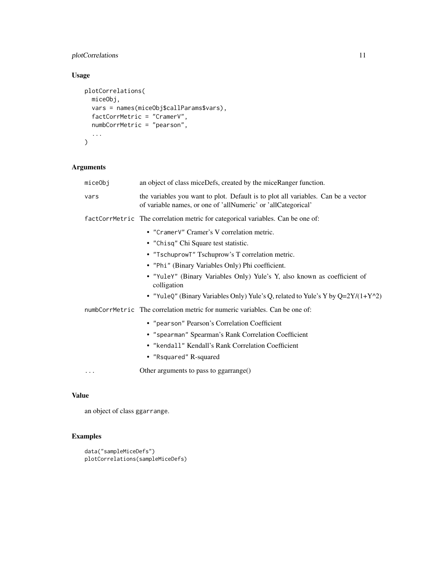# plotCorrelations 11

# Usage

```
plotCorrelations(
  miceObj,
  vars = names(miceObj$callParams$vars),
  factCorrMetric = "CramerV",
  numbCorrMetric = "pearson",
  ...
\mathcal{L}
```
# Arguments

| miceObj                                                                         | an object of class miceDefs, created by the miceRanger function.                                                                                   |
|---------------------------------------------------------------------------------|----------------------------------------------------------------------------------------------------------------------------------------------------|
| vars                                                                            | the variables you want to plot. Default is to plot all variables. Can be a vector<br>of variable names, or one of 'allNumeric' or 'allCategorical' |
| factCorrMetric The correlation metric for categorical variables. Can be one of: |                                                                                                                                                    |
|                                                                                 | • "Cramer V" Cramer's V correlation metric.                                                                                                        |
|                                                                                 | • "Chisq" Chi Square test statistic.                                                                                                               |
|                                                                                 | • "TschuprowT" Tschuprow's T correlation metric.                                                                                                   |
|                                                                                 | • "Phi" (Binary Variables Only) Phi coefficient.                                                                                                   |
|                                                                                 | · "YuleY" (Binary Variables Only) Yule's Y, also known as coefficient of<br>colligation                                                            |
|                                                                                 | • "YuleQ" (Binary Variables Only) Yule's Q, related to Yule's Y by Q=2Y/(1+Y^2)                                                                    |
|                                                                                 | numbCorrMetric The correlation metric for numeric variables. Can be one of:                                                                        |
|                                                                                 | • "pearson" Pearson's Correlation Coefficient                                                                                                      |
|                                                                                 | • "spearman" Spearman's Rank Correlation Coefficient                                                                                               |
|                                                                                 | • "kendall" Kendall's Rank Correlation Coefficient                                                                                                 |
|                                                                                 | • "Rsquared" R-squared                                                                                                                             |
| .                                                                               | Other arguments to pass to ggarrange()                                                                                                             |

# Value

an object of class ggarrange.

```
data("sampleMiceDefs")
plotCorrelations(sampleMiceDefs)
```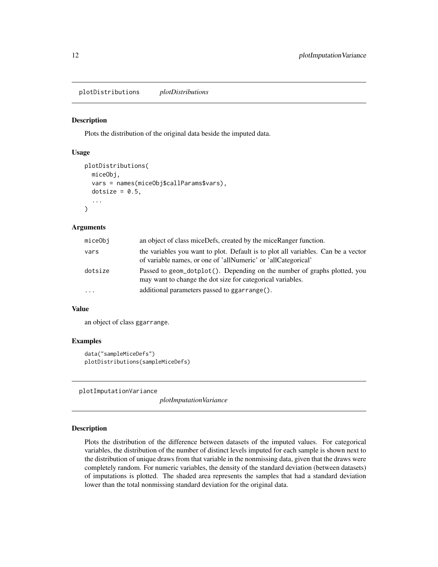<span id="page-11-0"></span>plotDistributions *plotDistributions*

#### Description

Plots the distribution of the original data beside the imputed data.

## Usage

```
plotDistributions(
  miceObj,
  vars = names(miceObj$callParams$vars),
  dotsize = 0.5,
  ...
\mathcal{E}
```
#### Arguments

| miceObj  | an object of class miceDefs, created by the miceRanger function.                                                                                   |
|----------|----------------------------------------------------------------------------------------------------------------------------------------------------|
| vars     | the variables you want to plot. Default is to plot all variables. Can be a vector<br>of variable names, or one of 'allNumeric' or 'allCategorical' |
| dotsize  | Passed to geom_dotplot(). Depending on the number of graphs plotted, you<br>may want to change the dot size for categorical variables.             |
| $\cdots$ | additional parameters passed to ggarrange().                                                                                                       |

## Value

an object of class ggarrange.

### Examples

```
data("sampleMiceDefs")
plotDistributions(sampleMiceDefs)
```
plotImputationVariance

*plotImputationVariance*

## Description

Plots the distribution of the difference between datasets of the imputed values. For categorical variables, the distribution of the number of distinct levels imputed for each sample is shown next to the distribution of unique draws from that variable in the nonmissing data, given that the draws were completely random. For numeric variables, the density of the standard deviation (between datasets) of imputations is plotted. The shaded area represents the samples that had a standard deviation lower than the total nonmissing standard deviation for the original data.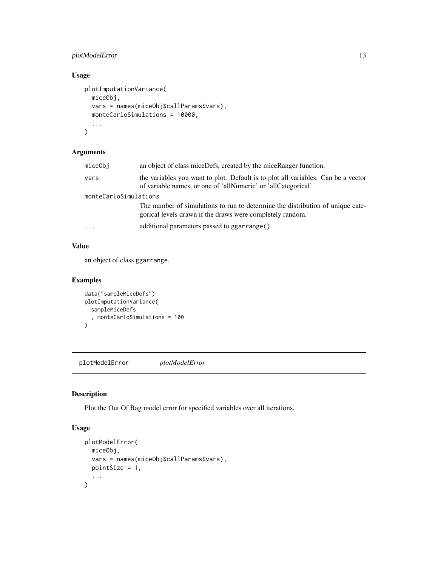# <span id="page-12-0"></span>plotModelError 13

# Usage

```
plotImputationVariance(
 miceObj,
 vars = names(miceObj$callParams$vars),
 monteCarloSimulations = 10000,
  ...
)
```
# Arguments

|                       | miceObj  | an object of class miceDefs, created by the miceRanger function.                                                                                   |
|-----------------------|----------|----------------------------------------------------------------------------------------------------------------------------------------------------|
|                       | vars     | the variables you want to plot. Default is to plot all variables. Can be a vector<br>of variable names, or one of 'allNumeric' or 'allCategorical' |
| monteCarloSimulations |          |                                                                                                                                                    |
|                       |          | The number of simulations to run to determine the distribution of unique cate-<br>gorical levels drawn if the draws were completely random.        |
|                       | $\cdots$ | additional parameters passed to ggarrange().                                                                                                       |

## Value

an object of class ggarrange.

# Examples

```
data("sampleMiceDefs")
plotImputationVariance(
  sampleMiceDefs
  , monteCarloSimulations = 100
\lambda
```
plotModelError *plotModelError*

# Description

Plot the Out Of Bag model error for specified variables over all iterations.

# Usage

```
plotModelError(
  miceObj,
  vars = names(miceObj$callParams$vars),
  pointSize = 1,
  ...
\mathcal{L}
```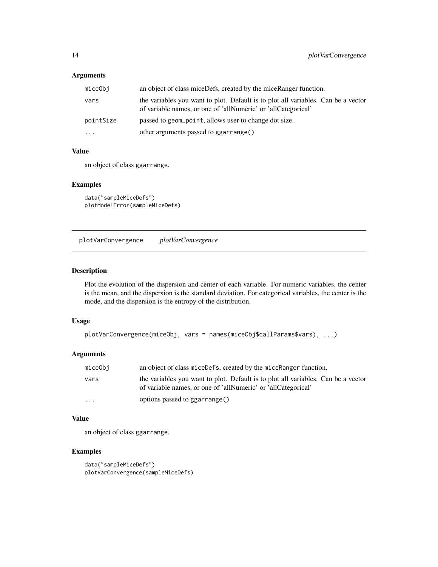# <span id="page-13-0"></span>Arguments

| miceObj   | an object of class miceDefs, created by the miceRanger function.                                                                                   |
|-----------|----------------------------------------------------------------------------------------------------------------------------------------------------|
| vars      | the variables you want to plot. Default is to plot all variables. Can be a vector<br>of variable names, or one of 'allNumeric' or 'allCategorical' |
| pointSize | passed to geom_point, allows user to change dot size.                                                                                              |
| $\cdots$  | other arguments passed to ggarrange()                                                                                                              |

#### Value

an object of class ggarrange.

# Examples

data("sampleMiceDefs") plotModelError(sampleMiceDefs)

plotVarConvergence *plotVarConvergence*

# Description

Plot the evolution of the dispersion and center of each variable. For numeric variables, the center is the mean, and the dispersion is the standard deviation. For categorical variables, the center is the mode, and the dispersion is the entropy of the distribution.

#### Usage

```
plotVarConvergence(miceObj, vars = names(miceObj$callParams$vars), ...)
```
# Arguments

| miceObi  | an object of class miceDefs, created by the miceRanger function.                                                                                   |
|----------|----------------------------------------------------------------------------------------------------------------------------------------------------|
| vars     | the variables you want to plot. Default is to plot all variables. Can be a vector<br>of variable names, or one of 'allNumeric' or 'allCategorical' |
| $\cdots$ | options passed to ggarrange()                                                                                                                      |

## Value

an object of class ggarrange.

```
data("sampleMiceDefs")
plotVarConvergence(sampleMiceDefs)
```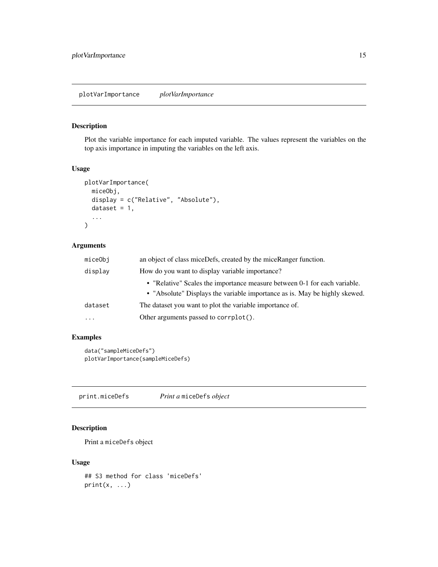# <span id="page-14-0"></span>Description

Plot the variable importance for each imputed variable. The values represent the variables on the top axis importance in imputing the variables on the left axis.

### Usage

```
plotVarImportance(
  miceObj,
  display = c("Relative", "Absolute"),
  dataset = 1,
  ...
\mathcal{L}
```
# Arguments

| miceObi                 | an object of class miceDefs, created by the miceRanger function.                                                                                        |
|-------------------------|---------------------------------------------------------------------------------------------------------------------------------------------------------|
| display                 | How do you want to display variable importance?                                                                                                         |
|                         | • "Relative" Scales the importance measure between 0-1 for each variable.<br>• "Absolute" Displays the variable importance as is. May be highly skewed. |
| dataset                 | The dataset you want to plot the variable importance of.                                                                                                |
| $\cdot$ $\cdot$ $\cdot$ | Other arguments passed to corrplot().                                                                                                                   |

# Examples

```
data("sampleMiceDefs")
plotVarImportance(sampleMiceDefs)
```
print.miceDefs *Print a* miceDefs *object*

# Description

Print a miceDefs object

## Usage

```
## S3 method for class 'miceDefs'
print(x, \ldots)
```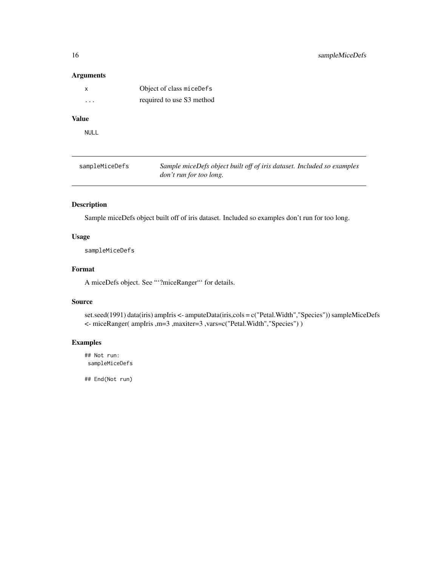## <span id="page-15-0"></span>Arguments

| X | Object of class miceDefs  |
|---|---------------------------|
| . | required to use S3 method |

# Value

NULL

| sampleMiceDefs | Sample miceDefs object built off of iris dataset. Included so examples |
|----------------|------------------------------------------------------------------------|
|                | <i>don't run for too long.</i>                                         |

# Description

Sample miceDefs object built off of iris dataset. Included so examples don't run for too long.

# Usage

sampleMiceDefs

## Format

A miceDefs object. See "'?miceRanger"' for details.

## Source

set.seed(1991) data(iris) ampIris <- amputeData(iris,cols = c("Petal.Width","Species")) sampleMiceDefs <- miceRanger( ampIris ,m=3 ,maxiter=3 ,vars=c("Petal.Width","Species") )

# Examples

## Not run: sampleMiceDefs

## End(Not run)